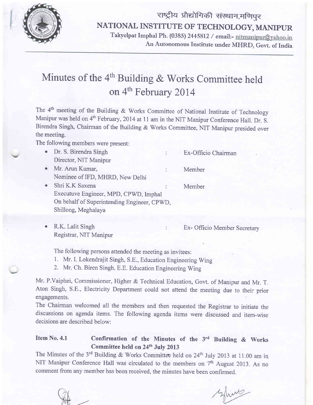

राष्ट्रीय प्रौद्योगिकी संस्थान,मणिपुर NATIONAL INSTITUTE OF TECHNOLOGY, MANIPUR Takyelpat Imphal Ph. (0385) 2445812 / email:- nitmanipur@yahoo.in An Autonomous Institute under MHRD, Govt. of India.

## Minutes of the 4<sup>th</sup> Building & Works Committee held on 4<sup>th</sup> February 2014

The 4<sup>th</sup> meeting of the Building & Works Committee of National Institute of Technology Manipur was held on 4<sup>th</sup> February, 2014 at 11 am in the NIT Manipur Conference Hall. Dr. S. Birendra Singh, Chairman of the Building & Works Committee, NIT Manipur presided over the meeting.

The following members were present:

|           | • Dr. S. Birendra Singh                                                              | Ex-Officio Chairman                                                                                                        |
|-----------|--------------------------------------------------------------------------------------|----------------------------------------------------------------------------------------------------------------------------|
|           | Director, NIT Manipur                                                                |                                                                                                                            |
| $\bullet$ | Mr. Arun Kumar,                                                                      | Member                                                                                                                     |
|           | Nominee of IFD, MHRD, New Delhi                                                      |                                                                                                                            |
|           | · Shri K.K Saxena                                                                    | Member                                                                                                                     |
|           | Executuve Engineer, MPD, CPWD, Imphal<br>On behalf of Superintending Engineer, CPWD, |                                                                                                                            |
|           | Shillong, Meghalaya                                                                  |                                                                                                                            |
|           | R K Lalit Singh                                                                      | $E_{\rm yr}$ $\bigcap$ $\bigcap_{n=1}^{\infty}$ $\bigcup_{n=1}^{\infty}$ $\bigcup_{n=1}^{\infty}$ $\bigcap_{n=1}^{\infty}$ |

Lalit Singh Registrar, NIT Manipur Jfficio Member Secretary

The following persons attended the meeting as invitees:

- 1. Mr. I. Lokendrajit Singh, S.E., Education Engineering Wing
- 2. Mr. Ch. Biren Singh. E.E. Education Engineering Wing

Mr. P.Vaiphei, Commissioner, Higher & Technical Education, Govt. of Manipur and Mr. T. Aton Singh, S.E., Electricity Department could not attend the meeting due to their prior engagements.

The Chairman welcomed all the members and then requested the Registrar to initiate the discussions on agenda items. The following agenda items were discussed and item-wise decisions are described below:

### Item No. 4.1 Confirmation of the Minutes of the 3'd Building & Works Committee held on 24<sup>th</sup> July 2013

The Minutes of the 3<sup>rd</sup> Building & Works Committee held on 24<sup>th</sup> July 2013 at 11.00 am in NIT Manipur Conference Hall was circulated to the members on 7<sup>th</sup> August 2013. As no comment from any member has been received, the minutes have been confirmed.

 $\mathfrak{p}$ 

June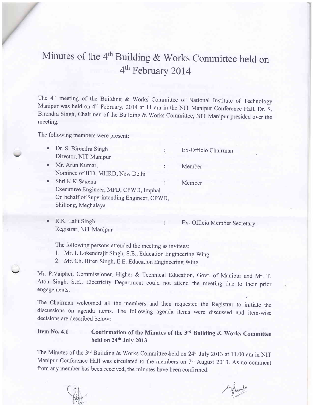## Minutes of the 4<sup>th</sup> Building & Works Committee held on 4th February 2014

The 4<sup>th</sup> meeting of the Building & Works Committee of National Institute of Technology Manipur was held on 4<sup>th</sup> February, 2014 at 11 am in the NIT Manipur Conference Hall. Dr. S. Birendra Singh, Chairman of the Building & Works Committee, NIT Maripur presided over the meeting.

The following members were present:

| • Dr. S. Birendra Singh<br>Director, NIT Manipur | Ex-Officio Chairman |  |
|--------------------------------------------------|---------------------|--|
| • Mr. Arun Kumar,                                | Member              |  |

Nominee of IFD, MHRD, New Delhi

o Shri K.K Saxena Executuve Engineer, MPD, CPWD, Imphal On behalf of Superintending Engineer, CPWD, Shillong, Meghalaya

Ex- Officio Member Secretary

**Member** 

. R.K. Lalit Singh Registrar, NIT Manipur

The following persons attended the meeting as invitees:

1. Mr. I. Lokendrajit Singh, S.E., Education Engineering Wing

2. Mr. Ch. Biren Singh, E.E. Education Engineering Wing

Mr. P.Vaiphei, Commissioner, Higher & Technical Education, Govt. of Manipur and Mr. T. Aton Singh, S.E., Electricity Department could not attend the meeting due to their prior engagements.

The Chairman welcomed all the members and then requested the Registrar to initiate the discussions on agenda items. The following agenda items were discussed and item-wise decisions are described below:

### Item No. 4.1 Confirmation of the Minutes of the 3<sup>rd</sup> Building & Works Committee held on 24<sup>th</sup> July 2013

The Minutes of the 3<sup>rd</sup> Building & Works Committee held on 24<sup>th</sup> July 2013 at 11.00 am in NIT Manipur Conference Hall was circulated to the members on 7<sup>th</sup> August 2013. As no comment from any member has been received, the minutes have been confirmed.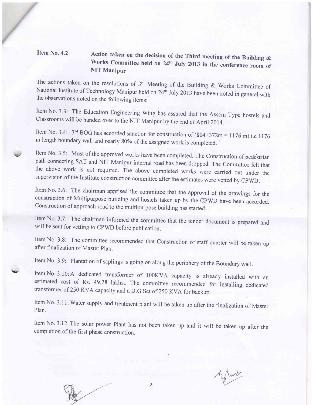## Item No. 4.2 Action taken on the decision of the Third meeting of the Building & Works Committee held on  $24<sup>th</sup>$  July 2013 in the conference room of NIT Manipur

The actions taken on the resolutions of  $3^{rd}$  Meeting of the Building & Works Committee of National Institute of Technology Manipur held on  $24^{th}$  July 2013 have been noted in general with the observations noted on the

Item No. 3.3: The Education Engineering Wing has assured that the Assam Type hostels and Classrooms will be handed over to the NIT Manipur by the end of April 2014.

Item No. 3.4:  $3^{\text{rd}}$  BOG has accorded sanction for construction of (804+372m = 1176 m) i.e 1176 <sup>m</sup>length boundary wall and nearly g0% of the assigned work is completed.

Item No. 3.5: Most of the approved works have been completed. The Construction of pedestrian path connecting SAT and NIT Manipur internal road has been dropped. The Committee felt that the above work is not required. The above completed works were carried out under the supervision of the Institute construction committee after the estimates were vetted by CPWD.

Item No. 3.6: The chairman apprised the committee that the approval of the drawings for the construction of Multipurpose building and hostels taken up by the CPWD have been accorded. Construction of approach road to the mu

Item No. 3.7: The chairman informed the committee that the tender document is prepared and will be sent for vetting to CPWD before publication.

Item No. 3.8: The committee recommended that Construction of staff quarter will be taken up after finalization of Master Plan.

Item No. 3.9: Plantation of saplings is going on along the periphery of the Boundary wall.

Y

Item No. 3.10: A dedicated transformer of 100KVA capacity is already installed with an estimated cost of Rs. 49.28 lakhs.. The committee recommended for installing dedicated transformer of 250 KVA capacity and a D.G Set of 250 KVA for backup.

Item No. 3.1 l: Water supply and treatment plant will be taken up after the finalization of Master Plan.

ItemNo.3.12:The solar power plant has not been taken up and it will be taken up after thecompletion of the first phase construction.

Africa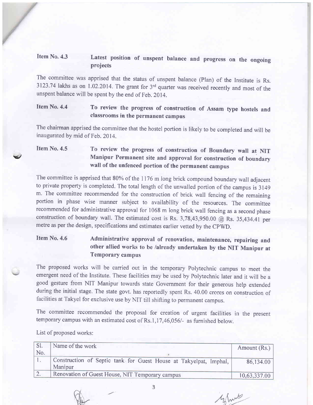### Item No. 4.3 Latest position of unspent balance and progress on the ongoing projects

The committee was apprised that the status of unspent balance (Plan) of the Institute is Rs. 3123.74 lakhs as on 1.02.2014. The grant for  $3<sup>rd</sup>$  quarter was received recently and most of the unspent balance will be spent by the end of Feb. 2014.

Item No. 4.4 To review the progress of construction of Assam type hostels and classrooms in the permanent campus

The chairman apprised the committee that the hostel portion is likely to be completed and will be inaugurated by mid of Feb. 2014.

ltem No.4.5 To review the progress of construction of Boundary wall at NIT Manipur Permanent site and approval for construction of boundary wall of the unfenced portion of the permanent campus

The committee is apprised that 80% of the 1176 m long brick compound boundary wall adjacent to private property is completed. The total length of the unwalled portion of the campus is <sup>3149</sup> m. The committee recommended for the construction of brick wall fencing of the remaining portion in phase wise manner subject to availability of the resources. The committee recommended for administrative approval for 1068 m long brick wall fencing as a second phase construction of boundary wall. The estimated cost is Rs. 3,78,43,950.00  $@$  Rs. 35,434.41 per metre as per the design, specifications and estimates earlier vetted by the CPWD.

Item No.4.6 Administrative approval of renovation, maintenance, repairing and other allied works to be /already undertaken by the NIT Manipur at Temporary campus

The proposed works will be carried out in the temporary Polytechnic campus to meet the emergent need of the Institute. These facilities may be used by Polytechnic later and it will be <sup>a</sup> good gesture from NIT Manipur towards state Government for their generous help extended during the initial stage. The state govt. has reportedly spent Rs. 40.00 crores on construction of facilities at Takyel for exclusive use by NIT till shifting to permanent campus.

The committee recommended the proposal for creation of urgent facilities in the present temporary campus with an estimated cost of Rs.1,17,46,056/- as furnished below.

List of proposed works:

v

| SI. | Name of the work                                                             | Amount $(Rs.)$ |
|-----|------------------------------------------------------------------------------|----------------|
| No. |                                                                              |                |
|     | Construction of Septic tank for Guest House at Takyelpat, Imphal,<br>Manipur | 86,134.00      |
|     | Renovation of Guest House, NIT Temporary campus                              | 10,63,337.00   |

3

Glub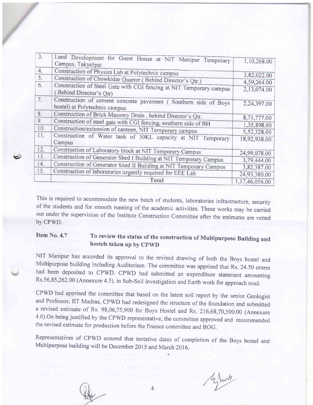| 3.  | Land Development for Guest House at NIT Manipur Temporary                                        | 1,10,268.00                    |  |  |
|-----|--------------------------------------------------------------------------------------------------|--------------------------------|--|--|
|     | Campus, Takyelpat                                                                                |                                |  |  |
| 4.  | Construction of Physics Lab at Polytechnic campus                                                |                                |  |  |
| 5.  | Construction of Chowkidar Quarter (Behind Director's Qtr.)                                       | 3,82,022.00                    |  |  |
| 6.  | Construction of Steel Gate with CGI fencing at NIT Temporary campus                              | 4,59,264.00                    |  |  |
|     | Behind Director's Qtr)                                                                           | 2,13,074.00                    |  |  |
| 7.  | Construction of cement concrete pavement (Southern side of Boys<br>hostel) at Polytechnic campus | 2,24,397.00                    |  |  |
| 8.  |                                                                                                  |                                |  |  |
| 9.  | Construction of Brick Masonry Drain, behind Director's Qtr.                                      | 8,71,777.00                    |  |  |
|     | Construction of steel gate with CGI fencing, southern side of BH                                 | 1,35,898.00                    |  |  |
| 10. | Construction/extension of canteen, NIT Temporary campus                                          | 5,52,328.00                    |  |  |
| 11. | Construction of Water tank of 30KL capacity at NIT Temporary<br>Campus                           | 18,92,938.00                   |  |  |
| 12. | Construction of Laboratory block at NIT Temporary Campus<br>24,99,078.00                         |                                |  |  |
| 13. | Construction of Generator Shed I Building at NIT Temporary Campus                                |                                |  |  |
| 14. | 3,79,444.00                                                                                      |                                |  |  |
| 15. | Construction of Generator Shed II Building at NIT Temporary Campus                               | 3,82,387.00                    |  |  |
|     | Construction of laboratories urgently required for EEE Lab                                       |                                |  |  |
|     | Total                                                                                            | 24,93,380.00<br>1,17,46,056.00 |  |  |

This is required to accommodate the new batch of students, laboratories infrastructure, security of the students and for smooth running of the academic activities. These works may be carried out under the supervision of the Institute Construction Committee after the estimates are vetted by CPWD.

### Item No. 4.7 To review the status of the construction of Multipurpose Building and hostels taken up by CPWD

NIT Manipur has accorded its approval to the revised drawing of both the Boys hostel and Multipurpose building including Auditorium. The committee was apprised that Rs. 24.50 crores had been deposited to CPWD. CPWD had sub Rs'56,85,262.00 (Annexure 4.5). in Sub-Soil investigation and Earlh work for approach road.

CPWD had apprised the committee that based on the latest soil report by the senior.Geologist and Professor, IIT Madras, CPWD had redesigned the structure of the foundation and submitted <sup>a</sup>revised estimate of Rs. 98,06,75,900 for Boys Hostel and Rs. 216,6g,70,500.00 (Annexure 4.6). On being justified by the CPWD representative, the committee approved and recommended the revised estimate for production before the finance committee and BoG.

Representatives of CPWD assured that tentative dates of completion of the Boys hostel and Multipurpose building will be December 2015 and March 2016.

?

Julius

 $\overline{a}$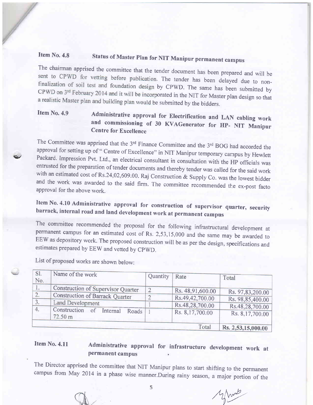### Item No. 4.8 Status of Master plan for NIT Manipur permanent campus

The chairman apprised the committee that the tender document has been prepared and will be sent to CPWD for vetting before publication. The tender has been delayed due to nonfinalization of soil test and foundation design by CPWD. The same has been submitted by CPWD on 3rd February 2014 and it will be incorporated in the NIT for Master plan design so that a realistic Master plan and building plan would be submitted by the bidders.

# Item No. 4.9 Administrative approval for Electrification and LAN cabling work<br>and commissioning of 30 KVAGenerator for HP- NIT Manipur<br>Centre for Excellence

The Committee was apprised that the  $3^{rd}$  Finance Committee and the  $3^{rd}$  BOG had accorded the approval for setting up of "Centre of Excellence" in NIT Manipur temporary carnpus by Hewlett Packard. Impression Pvt. Ltd.,

## Item No. 4.10 Administrative approval for construction of supervisor quarter, security barrack, internal road and land development work at permanent campus

The committee recommended the proposal for the following infrastructural development at permanent campus for an estimated cost of Rs. 2,53,15,000 and the same may be awarded to EEW as depository work. The proposed construc

| SI.<br>No. | Name of the work                                | Quantity | Rate             | Total              |
|------------|-------------------------------------------------|----------|------------------|--------------------|
|            | Construction of Supervisor Quarter              |          | Rs. 48,91,600.00 | Rs. 97,83,200.00   |
| 2.         | Construction of Barrack Quarter                 |          | Rs.49,42,700.00  | Rs. 98,85,400.00   |
| 3.         | Land Development                                |          | Rs.48,28,700.00  | Rs.48,28,700.00    |
| 4.         | Construction<br>of Internal<br>Roads<br>72.50 m |          | Rs. 8,17,700.00  | Rs. 8,17,700.00    |
|            |                                                 |          | Total            | Rs. 2,53,15,000.00 |

List of proposed works are shown below:

?

### Item No. 4.11 Administrative approval for infrastructure development work at permanent campus

The Director apprised the committee that NIT Manipur plans to start shifting to the permanent campus from May 2014 in a phase wise manner.During rainy season, a major portion of the

AW'

5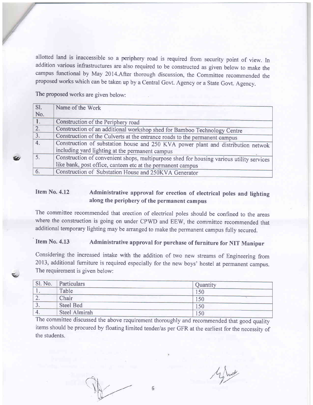allotted land is inaccessible so a periphery road is required from security point of view. In addition various infrastructures are also required to be constructed as given below to make the campus functional by May 2014.After thorough discussion, the Committee recommended the proposed works which can be taken up by a Central Govt. Agency or a State Govt. Agency.

The proposed works are given below:

e/

| Name of the Work                                                                         |  |
|------------------------------------------------------------------------------------------|--|
|                                                                                          |  |
| Construction of the Periphery road                                                       |  |
| Construction of an additional workshop shed for Bamboo Technology Centre                 |  |
| Construction of the Culverts at the entrance roads to the permanent campus               |  |
| Construction of substation house and 250 KVA power plant and distribution netwok         |  |
| including yard lighting at the permanent campus                                          |  |
| Construction of convenient shops, multipurpose shed for housing various utility services |  |
| like bank, post office, canteen etc at the permanent campus                              |  |
| Construction of Substation House and 250KVA Generator                                    |  |
|                                                                                          |  |

### Item No. 4.12 Administrative approval for erection of electrical poles and lighting along the periphery of the permanent campus

The committee recommended that erection of electrical poles should be confined to the areas where the construction is going on under CPWD and EEW, the committee recommended that additional temporary lighting may be arranged to make the permanent campus fully secured.

### Item No. 4.13 Administrative approval for purchase of furniture for NIT Manipur

Considering the increased intake with the addition of two new streams of Engineering from 2013, additional fumiture is required especially for the new boys' hostel at permanent campus. The requirement is given below:

| Sl. No.    | Particulars      | Quantity |
|------------|------------------|----------|
|            | Table            | 150      |
|            | Chair            | 150      |
| <u>. .</u> | <b>Steel Bed</b> | 150      |
| 1.         | Steel Almirah    | 150      |

The committee discussed the above requirement thoroughly and recommended that good quality items should be procured by floating limited tender/as per GFR at the earliest for the necessity of the students.

Grad

6